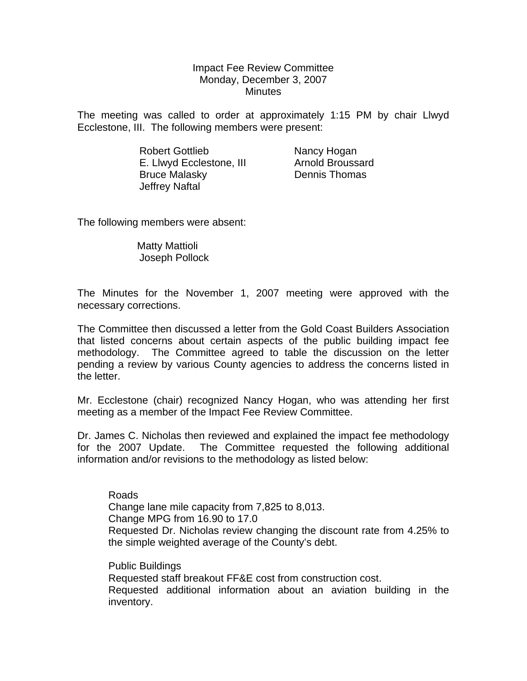### Impact Fee Review Committee Monday, December 3, 2007 **Minutes**

The meeting was called to order at approximately 1:15 PM by chair Llwyd Ecclestone, III. The following members were present:

> Robert Gottlieb Nancy Hogan E. Llwyd Ecclestone, III Arnold Broussard Bruce Malasky Dennis Thomas Jeffrey Naftal

The following members were absent:

 Matty Mattioli Joseph Pollock

The Minutes for the November 1, 2007 meeting were approved with the necessary corrections.

The Committee then discussed a letter from the Gold Coast Builders Association that listed concerns about certain aspects of the public building impact fee methodology. The Committee agreed to table the discussion on the letter pending a review by various County agencies to address the concerns listed in the letter.

Mr. Ecclestone (chair) recognized Nancy Hogan, who was attending her first meeting as a member of the Impact Fee Review Committee.

Dr. James C. Nicholas then reviewed and explained the impact fee methodology for the 2007 Update. The Committee requested the following additional information and/or revisions to the methodology as listed below:

Roads Change lane mile capacity from 7,825 to 8,013. Change MPG from 16.90 to 17.0 Requested Dr. Nicholas review changing the discount rate from 4.25% to the simple weighted average of the County's debt.

Public Buildings Requested staff breakout FF&E cost from construction cost. Requested additional information about an aviation building in the inventory.